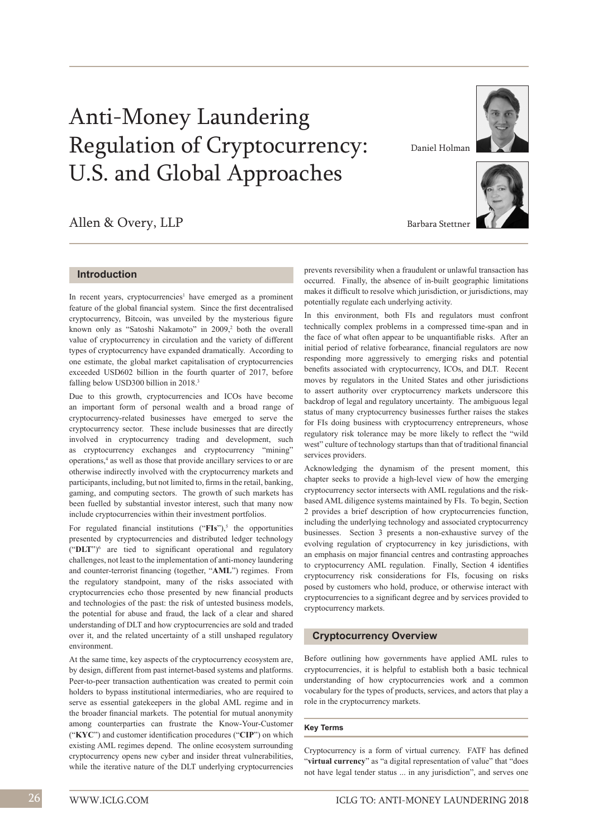# Anti-Money Laundering Regulation of Cryptocurrency: U.S. and Global Approaches

# Allen & Overy, LLP

Daniel Holman



Barbara Stettner

# **Introduction**

In recent years, cryptocurrencies<sup>1</sup> have emerged as a prominent feature of the global financial system. Since the first decentralised cryptocurrency, Bitcoin, was unveiled by the mysterious figure known only as "Satoshi Nakamoto" in 2009,<sup>2</sup> both the overall value of cryptocurrency in circulation and the variety of different types of cryptocurrency have expanded dramatically. According to one estimate, the global market capitalisation of cryptocurrencies exceeded USD602 billion in the fourth quarter of 2017, before falling below USD300 billion in 2018.<sup>3</sup>

Due to this growth, cryptocurrencies and ICOs have become an important form of personal wealth and a broad range of cryptocurrency-related businesses have emerged to serve the cryptocurrency sector. These include businesses that are directly involved in cryptocurrency trading and development, such as cryptocurrency exchanges and cryptocurrency "mining" operations,<sup>4</sup> as well as those that provide ancillary services to or are otherwise indirectly involved with the cryptocurrency markets and participants, including, but not limited to, firms in the retail, banking, gaming, and computing sectors. The growth of such markets has been fuelled by substantial investor interest, such that many now include cryptocurrencies within their investment portfolios.

For regulated financial institutions ("FIs"),<sup>5</sup> the opportunities presented by cryptocurrencies and distributed ledger technology ("**DLT**")<sup>6</sup> are tied to significant operational and regulatory challenges, not least to the implementation of anti-money laundering and counter-terrorist financing (together, "**AML**") regimes. From the regulatory standpoint, many of the risks associated with cryptocurrencies echo those presented by new financial products and technologies of the past: the risk of untested business models, the potential for abuse and fraud, the lack of a clear and shared understanding of DLT and how cryptocurrencies are sold and traded over it, and the related uncertainty of a still unshaped regulatory environment.

At the same time, key aspects of the cryptocurrency ecosystem are, by design, different from past internet-based systems and platforms. Peer-to-peer transaction authentication was created to permit coin holders to bypass institutional intermediaries, who are required to serve as essential gatekeepers in the global AML regime and in the broader financial markets. The potential for mutual anonymity among counterparties can frustrate the Know-Your-Customer ("**KYC**") and customer identification procedures ("**CIP**") on which existing AML regimes depend. The online ecosystem surrounding cryptocurrency opens new cyber and insider threat vulnerabilities, while the iterative nature of the DLT underlying cryptocurrencies

prevents reversibility when a fraudulent or unlawful transaction has occurred. Finally, the absence of in-built geographic limitations makes it difficult to resolve which jurisdiction, or jurisdictions, may potentially regulate each underlying activity.

In this environment, both FIs and regulators must confront technically complex problems in a compressed time-span and in the face of what often appear to be unquantifiable risks. After an initial period of relative forbearance, financial regulators are now responding more aggressively to emerging risks and potential benefits associated with cryptocurrency, ICOs, and DLT. Recent moves by regulators in the United States and other jurisdictions to assert authority over cryptocurrency markets underscore this backdrop of legal and regulatory uncertainty. The ambiguous legal status of many cryptocurrency businesses further raises the stakes for FIs doing business with cryptocurrency entrepreneurs, whose regulatory risk tolerance may be more likely to reflect the "wild west" culture of technology startups than that of traditional financial services providers.

Acknowledging the dynamism of the present moment, this chapter seeks to provide a high-level view of how the emerging cryptocurrency sector intersects with AML regulations and the riskbased AML diligence systems maintained by FIs. To begin, Section 2 provides a brief description of how cryptocurrencies function, including the underlying technology and associated cryptocurrency businesses. Section 3 presents a non-exhaustive survey of the evolving regulation of cryptocurrency in key jurisdictions, with an emphasis on major financial centres and contrasting approaches to cryptocurrency AML regulation. Finally, Section 4 identifies cryptocurrency risk considerations for FIs, focusing on risks posed by customers who hold, produce, or otherwise interact with cryptocurrencies to a significant degree and by services provided to cryptocurrency markets.

#### **Cryptocurrency Overview**

Before outlining how governments have applied AML rules to cryptocurrencies, it is helpful to establish both a basic technical understanding of how cryptocurrencies work and a common vocabulary for the types of products, services, and actors that play a role in the cryptocurrency markets.

#### **Key Terms**

Cryptocurrency is a form of virtual currency. FATF has defined "**virtual currency**" as "a digital representation of value" that "does not have legal tender status ... in any jurisdiction", and serves one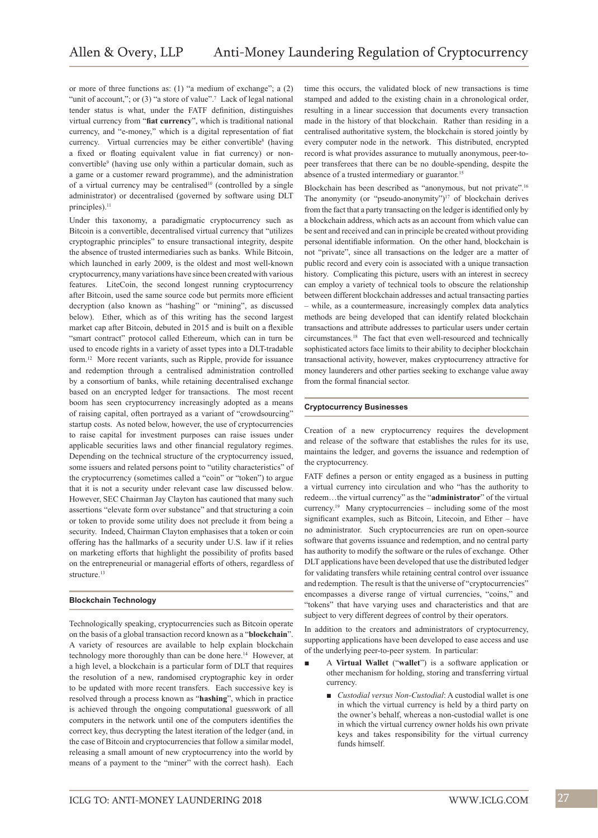or more of three functions as: (1) "a medium of exchange"; a (2) "unit of account,"; or (3) "a store of value".<sup>7</sup> Lack of legal national tender status is what, under the FATF definition, distinguishes virtual currency from "**fiat currency**", which is traditional national currency, and "e-money," which is a digital representation of fiat currency. Virtual currencies may be either convertible<sup>8</sup> (having a fixed or floating equivalent value in fiat currency) or nonconvertible<sup>9</sup> (having use only within a particular domain, such as a game or a customer reward programme), and the administration of a virtual currency may be centralised<sup>10</sup> (controlled by a single administrator) or decentralised (governed by software using DLT principles).<sup>11</sup>

Under this taxonomy, a paradigmatic cryptocurrency such as Bitcoin is a convertible, decentralised virtual currency that "utilizes cryptographic principles" to ensure transactional integrity, despite the absence of trusted intermediaries such as banks. While Bitcoin, which launched in early 2009, is the oldest and most well-known cryptocurrency, many variations have since been created with various features. LiteCoin, the second longest running cryptocurrency after Bitcoin, used the same source code but permits more efficient decryption (also known as "hashing" or "mining", as discussed below). Ether, which as of this writing has the second largest market cap after Bitcoin, debuted in 2015 and is built on a flexible "smart contract" protocol called Ethereum, which can in turn be used to encode rights in a variety of asset types into a DLT-tradable form.12 More recent variants, such as Ripple, provide for issuance and redemption through a centralised administration controlled by a consortium of banks, while retaining decentralised exchange based on an encrypted ledger for transactions. The most recent boom has seen cryptocurrency increasingly adopted as a means of raising capital, often portrayed as a variant of "crowdsourcing" startup costs. As noted below, however, the use of cryptocurrencies to raise capital for investment purposes can raise issues under applicable securities laws and other financial regulatory regimes. Depending on the technical structure of the cryptocurrency issued, some issuers and related persons point to "utility characteristics" of the cryptocurrency (sometimes called a "coin" or "token") to argue that it is not a security under relevant case law discussed below. However, SEC Chairman Jay Clayton has cautioned that many such assertions "elevate form over substance" and that structuring a coin or token to provide some utility does not preclude it from being a security. Indeed, Chairman Clayton emphasises that a token or coin offering has the hallmarks of a security under U.S. law if it relies on marketing efforts that highlight the possibility of profits based on the entrepreneurial or managerial efforts of others, regardless of structure<sup>13</sup>

#### **Blockchain Technology**

Technologically speaking, cryptocurrencies such as Bitcoin operate on the basis of a global transaction record known as a "**blockchain**". A variety of resources are available to help explain blockchain technology more thoroughly than can be done here.<sup>14</sup> However, at a high level, a blockchain is a particular form of DLT that requires the resolution of a new, randomised cryptographic key in order to be updated with more recent transfers. Each successive key is resolved through a process known as "**hashing**", which in practice is achieved through the ongoing computational guesswork of all computers in the network until one of the computers identifies the correct key, thus decrypting the latest iteration of the ledger (and, in the case of Bitcoin and cryptocurrencies that follow a similar model, releasing a small amount of new cryptocurrency into the world by means of a payment to the "miner" with the correct hash). Each time this occurs, the validated block of new transactions is time stamped and added to the existing chain in a chronological order, resulting in a linear succession that documents every transaction made in the history of that blockchain. Rather than residing in a centralised authoritative system, the blockchain is stored jointly by every computer node in the network. This distributed, encrypted record is what provides assurance to mutually anonymous, peer-topeer transferees that there can be no double-spending, despite the absence of a trusted intermediary or guarantor.<sup>15</sup>

Blockchain has been described as "anonymous, but not private".<sup>16</sup> The anonymity (or "pseudo-anonymity")<sup>17</sup> of blockchain derives from the fact that a party transacting on the ledger is identified only by a blockchain address, which acts as an account from which value can be sent and received and can in principle be created without providing personal identifiable information. On the other hand, blockchain is not "private", since all transactions on the ledger are a matter of public record and every coin is associated with a unique transaction history. Complicating this picture, users with an interest in secrecy can employ a variety of technical tools to obscure the relationship between different blockchain addresses and actual transacting parties – while, as a countermeasure, increasingly complex data analytics methods are being developed that can identify related blockchain transactions and attribute addresses to particular users under certain circumstances.18 The fact that even well-resourced and technically sophisticated actors face limits to their ability to decipher blockchain transactional activity, however, makes cryptocurrency attractive for money launderers and other parties seeking to exchange value away from the formal financial sector.

#### **Cryptocurrency Businesses**

Creation of a new cryptocurrency requires the development and release of the software that establishes the rules for its use, maintains the ledger, and governs the issuance and redemption of the cryptocurrency.

FATF defines a person or entity engaged as a business in putting a virtual currency into circulation and who "has the authority to redeem…the virtual currency" as the "**administrator**" of the virtual currency.19 Many cryptocurrencies – including some of the most significant examples, such as Bitcoin, Litecoin, and Ether – have no administrator. Such cryptocurrencies are run on open-source software that governs issuance and redemption, and no central party has authority to modify the software or the rules of exchange. Other DLT applications have been developed that use the distributed ledger for validating transfers while retaining central control over issuance and redemption. The result is that the universe of "cryptocurrencies" encompasses a diverse range of virtual currencies, "coins," and "tokens" that have varying uses and characteristics and that are subject to very different degrees of control by their operators.

In addition to the creators and administrators of cryptocurrency, supporting applications have been developed to ease access and use of the underlying peer-to-peer system. In particular:

- A **Virtual Wallet** ("**wallet**") is a software application or other mechanism for holding, storing and transferring virtual currency.
	- *Custodial versus Non-Custodial*: A custodial wallet is one in which the virtual currency is held by a third party on the owner's behalf, whereas a non-custodial wallet is one in which the virtual currency owner holds his own private keys and takes responsibility for the virtual currency funds himself.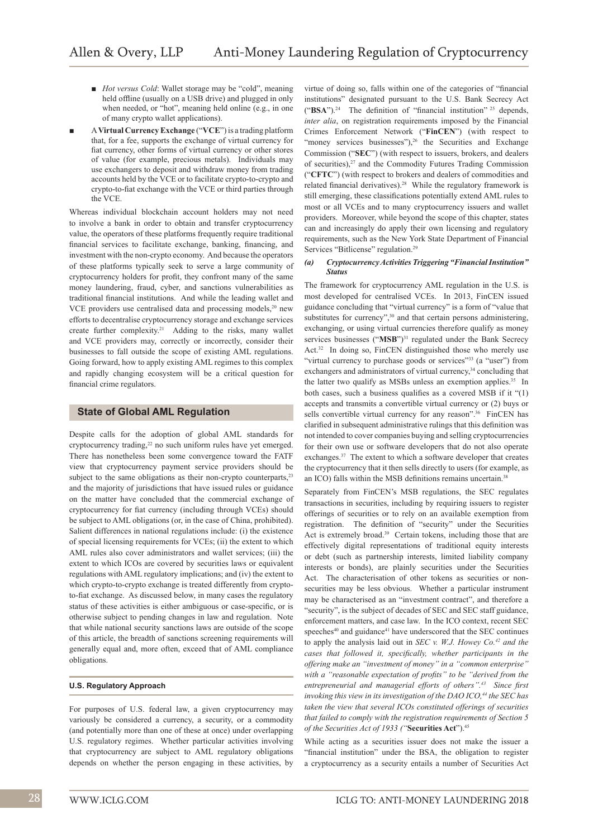- *Hot versus Cold*: Wallet storage may be "cold", meaning held offline (usually on a USB drive) and plugged in only when needed, or "hot", meaning held online (e.g., in one of many crypto wallet applications).
- A **Virtual Currency Exchange** ("**VCE**") is a trading platform that, for a fee, supports the exchange of virtual currency for fiat currency, other forms of virtual currency or other stores of value (for example, precious metals). Individuals may use exchangers to deposit and withdraw money from trading accounts held by the VCE or to facilitate crypto-to-crypto and crypto-to-fiat exchange with the VCE or third parties through the VCE.

Whereas individual blockchain account holders may not need to involve a bank in order to obtain and transfer cryptocurrency value, the operators of these platforms frequently require traditional financial services to facilitate exchange, banking, financing, and investment with the non-crypto economy. And because the operators of these platforms typically seek to serve a large community of cryptocurrency holders for profit, they confront many of the same money laundering, fraud, cyber, and sanctions vulnerabilities as traditional financial institutions. And while the leading wallet and VCE providers use centralised data and processing models,<sup>20</sup> new efforts to decentralise cryptocurrency storage and exchange services create further complexity.<sup>21</sup> Adding to the risks, many wallet and VCE providers may, correctly or incorrectly, consider their businesses to fall outside the scope of existing AML regulations. Going forward, how to apply existing AML regimes to this complex and rapidly changing ecosystem will be a critical question for financial crime regulators.

# **State of Global AML Regulation**

Despite calls for the adoption of global AML standards for cryptocurrency trading,<sup>22</sup> no such uniform rules have yet emerged. There has nonetheless been some convergence toward the FATF view that cryptocurrency payment service providers should be subject to the same obligations as their non-crypto counterparts, $2<sup>3</sup>$ and the majority of jurisdictions that have issued rules or guidance on the matter have concluded that the commercial exchange of cryptocurrency for fiat currency (including through VCEs) should be subject to AML obligations (or, in the case of China, prohibited). Salient differences in national regulations include: (i) the existence of special licensing requirements for VCEs; (ii) the extent to which AML rules also cover administrators and wallet services; (iii) the extent to which ICOs are covered by securities laws or equivalent regulations with AML regulatory implications; and (iv) the extent to which crypto-to-crypto exchange is treated differently from cryptoto-fiat exchange. As discussed below, in many cases the regulatory status of these activities is either ambiguous or case-specific, or is otherwise subject to pending changes in law and regulation. Note that while national security sanctions laws are outside of the scope of this article, the breadth of sanctions screening requirements will generally equal and, more often, exceed that of AML compliance obligations.

#### **U.S. Regulatory Approach**

For purposes of U.S. federal law, a given cryptocurrency may variously be considered a currency, a security, or a commodity (and potentially more than one of these at once) under overlapping U.S. regulatory regimes. Whether particular activities involving that cryptocurrency are subject to AML regulatory obligations depends on whether the person engaging in these activities, by

virtue of doing so, falls within one of the categories of "financial institutions" designated pursuant to the U.S. Bank Secrecy Act  $("BSA")$ .<sup>24</sup> The definition of "financial institution" <sup>25</sup> depends, *inter alia*, on registration requirements imposed by the Financial Crimes Enforcement Network ("**FinCEN**") (with respect to "money services businesses"), $26$  the Securities and Exchange Commission ("**SEC**") (with respect to issuers, brokers, and dealers of securities),<sup>27</sup> and the Commodity Futures Trading Commission ("**CFTC**") (with respect to brokers and dealers of commodities and related financial derivatives).28 While the regulatory framework is still emerging, these classifications potentially extend AML rules to most or all VCEs and to many cryptocurrency issuers and wallet providers. Moreover, while beyond the scope of this chapter, states can and increasingly do apply their own licensing and regulatory requirements, such as the New York State Department of Financial Services "Bitlicense" regulation.<sup>29</sup>

#### *(a) Cryptocurrency Activities Triggering "Financial Institution" Status*

The framework for cryptocurrency AML regulation in the U.S. is most developed for centralised VCEs. In 2013, FinCEN issued guidance concluding that "virtual currency" is a form of "value that substitutes for currency",<sup>30</sup> and that certain persons administering, exchanging, or using virtual currencies therefore qualify as money services businesses ("MSB")<sup>31</sup> regulated under the Bank Secrecy Act.<sup>32</sup> In doing so, FinCEN distinguished those who merely use "virtual currency to purchase goods or services"<sup>33</sup> (a "user") from exchangers and administrators of virtual currency,<sup>34</sup> concluding that the latter two qualify as MSBs unless an exemption applies.<sup>35</sup> In both cases, such a business qualifies as a covered MSB if it "(1) accepts and transmits a convertible virtual currency or (2) buys or sells convertible virtual currency for any reason".<sup>36</sup> FinCEN has clarified in subsequent administrative rulings that this definition was not intended to cover companies buying and selling cryptocurrencies for their own use or software developers that do not also operate exchanges.37 The extent to which a software developer that creates the cryptocurrency that it then sells directly to users (for example, as an ICO) falls within the MSB definitions remains uncertain.<sup>38</sup>

Separately from FinCEN's MSB regulations, the SEC regulates transactions in securities, including by requiring issuers to register offerings of securities or to rely on an available exemption from registration. The definition of "security" under the Securities Act is extremely broad.<sup>39</sup> Certain tokens, including those that are effectively digital representations of traditional equity interests or debt (such as partnership interests, limited liability company interests or bonds), are plainly securities under the Securities Act. The characterisation of other tokens as securities or nonsecurities may be less obvious. Whether a particular instrument may be characterised as an "investment contract", and therefore a "security", is the subject of decades of SEC and SEC staff guidance, enforcement matters, and case law. In the ICO context, recent SEC speeches<sup>40</sup> and guidance<sup>41</sup> have underscored that the SEC continues to apply the analysis laid out in *SEC v. W.J. Howey Co.42 and the cases that followed it, specifically, whether participants in the offering make an "investment of money" in a "common enterprise" with a "reasonable expectation of profits" to be "derived from the entrepreneurial and managerial efforts of others".43 Since first invoking this view in its investigation of the DAO ICO,<sup>44</sup> the SEC has taken the view that several ICOs constituted offerings of securities that failed to comply with the registration requirements of Section 5 of the Securities Act of 1933 ("***Securities Act**").<sup>45</sup>

While acting as a securities issuer does not make the issuer a "financial institution" under the BSA, the obligation to register a cryptocurrency as a security entails a number of Securities Act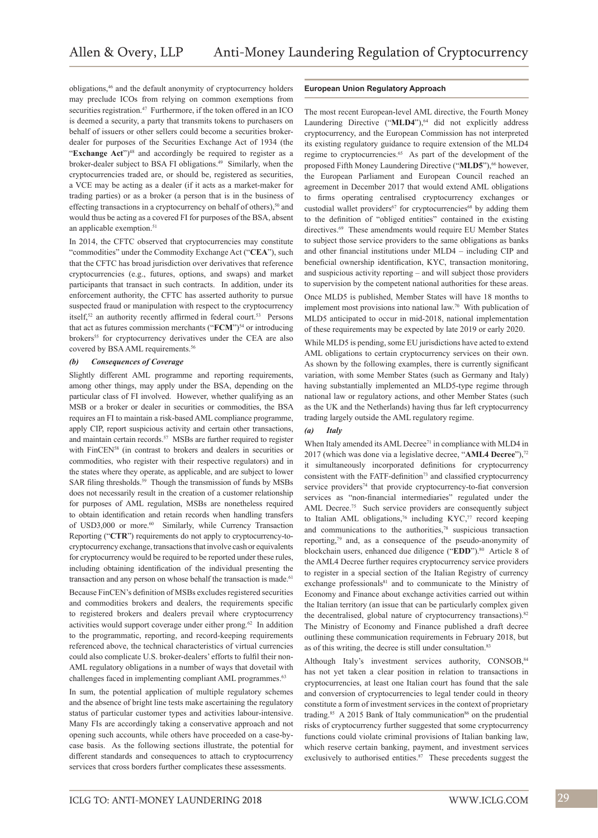obligations,<sup>46</sup> and the default anonymity of cryptocurrency holders may preclude ICOs from relying on common exemptions from securities registration.<sup>47</sup> Furthermore, if the token offered in an ICO is deemed a security, a party that transmits tokens to purchasers on behalf of issuers or other sellers could become a securities brokerdealer for purposes of the Securities Exchange Act of 1934 (the "**Exchange Act**")<sup>48</sup> and accordingly be required to register as a broker-dealer subject to BSA FI obligations.49 Similarly, when the cryptocurrencies traded are, or should be, registered as securities, a VCE may be acting as a dealer (if it acts as a market-maker for trading parties) or as a broker (a person that is in the business of effecting transactions in a cryptocurrency on behalf of others), $50$  and would thus be acting as a covered FI for purposes of the BSA, absent an applicable exemption.<sup>51</sup>

In 2014, the CFTC observed that cryptocurrencies may constitute "commodities" under the Commodity Exchange Act ("**CEA**"), such that the CFTC has broad jurisdiction over derivatives that reference cryptocurrencies (e.g., futures, options, and swaps) and market participants that transact in such contracts. In addition, under its enforcement authority, the CFTC has asserted authority to pursue suspected fraud or manipulation with respect to the cryptocurrency itself,<sup>52</sup> an authority recently affirmed in federal court.<sup>53</sup> Persons that act as futures commission merchants ("**FCM**")<sup>54</sup> or introducing brokers<sup>55</sup> for cryptocurrency derivatives under the CEA are also covered by BSA AML requirements.<sup>56</sup>

#### *(b) Consequences of Coverage*

Slightly different AML programme and reporting requirements, among other things, may apply under the BSA, depending on the particular class of FI involved. However, whether qualifying as an MSB or a broker or dealer in securities or commodities, the BSA requires an FI to maintain a risk-based AML compliance programme, apply CIP, report suspicious activity and certain other transactions, and maintain certain records.<sup>57</sup> MSBs are further required to register with FinCEN<sup>58</sup> (in contrast to brokers and dealers in securities or commodities, who register with their respective regulators) and in the states where they operate, as applicable, and are subject to lower SAR filing thresholds.<sup>59</sup> Though the transmission of funds by MSBs does not necessarily result in the creation of a customer relationship for purposes of AML regulation, MSBs are nonetheless required to obtain identification and retain records when handling transfers of USD3,000 or more.<sup>60</sup> Similarly, while Currency Transaction Reporting ("**CTR**") requirements do not apply to cryptocurrency-tocryptocurrency exchange, transactions that involve cash or equivalents for cryptocurrency would be required to be reported under these rules, including obtaining identification of the individual presenting the transaction and any person on whose behalf the transaction is made.<sup>61</sup> Because FinCEN's definition of MSBs excludes registered securities and commodities brokers and dealers, the requirements specific to registered brokers and dealers prevail where cryptocurrency activities would support coverage under either prong.<sup>62</sup> In addition to the programmatic, reporting, and record-keeping requirements referenced above, the technical characteristics of virtual currencies could also complicate U.S. broker-dealers' efforts to fulfil their non-AML regulatory obligations in a number of ways that dovetail with challenges faced in implementing compliant AML programmes.<sup>63</sup>

In sum, the potential application of multiple regulatory schemes and the absence of bright line tests make ascertaining the regulatory status of particular customer types and activities labour-intensive. Many FIs are accordingly taking a conservative approach and not opening such accounts, while others have proceeded on a case-bycase basis. As the following sections illustrate, the potential for different standards and consequences to attach to cryptocurrency services that cross borders further complicates these assessments.

#### **European Union Regulatory Approach**

The most recent European-level AML directive, the Fourth Money Laundering Directive ("**MLD4**"),<sup>64</sup> did not explicitly address cryptocurrency, and the European Commission has not interpreted its existing regulatory guidance to require extension of the MLD4 regime to cryptocurrencies.<sup>65</sup> As part of the development of the proposed Fifth Money Laundering Directive ("MLD5"),<sup>66</sup> however, the European Parliament and European Council reached an agreement in December 2017 that would extend AML obligations to firms operating centralised cryptocurrency exchanges or custodial wallet providers<sup>67</sup> for cryptocurrencies<sup>68</sup> by adding them to the definition of "obliged entities" contained in the existing directives.<sup>69</sup> These amendments would require EU Member States to subject those service providers to the same obligations as banks and other financial institutions under MLD4 – including CIP and beneficial ownership identification, KYC, transaction monitoring, and suspicious activity reporting – and will subject those providers to supervision by the competent national authorities for these areas. Once MLD5 is published, Member States will have 18 months to implement most provisions into national law.<sup>70</sup> With publication of MLD5 anticipated to occur in mid-2018, national implementation of these requirements may be expected by late 2019 or early 2020.

While MLD5 is pending, some EU jurisdictions have acted to extend AML obligations to certain cryptocurrency services on their own. As shown by the following examples, there is currently significant variation, with some Member States (such as Germany and Italy) having substantially implemented an MLD5-type regime through national law or regulatory actions, and other Member States (such as the UK and the Netherlands) having thus far left cryptocurrency trading largely outside the AML regulatory regime.

#### *(a) Italy*

When Italy amended its AML Decree<sup>71</sup> in compliance with MLD4 in 2017 (which was done via a legislative decree, "AML4 Decree"),<sup>72</sup> it simultaneously incorporated definitions for cryptocurrency consistent with the FATF-definition<sup>73</sup> and classified cryptocurrency service providers<sup>74</sup> that provide cryptocurrency-to-fiat conversion services as "non-financial intermediaries" regulated under the AML Decree.<sup>75</sup> Such service providers are consequently subject to Italian AML obligations,<sup>76</sup> including KYC,<sup>77</sup> record keeping and communications to the authorities, $78$  suspicious transaction reporting,<sup>79</sup> and, as a consequence of the pseudo-anonymity of blockchain users, enhanced due diligence ("EDD").<sup>80</sup> Article 8 of the AML4 Decree further requires cryptocurrency service providers to register in a special section of the Italian Registry of currency exchange professionals<sup>81</sup> and to communicate to the Ministry of Economy and Finance about exchange activities carried out within the Italian territory (an issue that can be particularly complex given the decentralised, global nature of cryptocurrency transactions).<sup>82</sup> The Ministry of Economy and Finance published a draft decree outlining these communication requirements in February 2018, but as of this writing, the decree is still under consultation.<sup>83</sup>

Although Italy's investment services authority, CONSOB, 84 has not yet taken a clear position in relation to transactions in cryptocurrencies, at least one Italian court has found that the sale and conversion of cryptocurrencies to legal tender could in theory constitute a form of investment services in the context of proprietary trading.<sup>85</sup> A 2015 Bank of Italy communication<sup>86</sup> on the prudential risks of cryptocurrency further suggested that some cryptocurrency functions could violate criminal provisions of Italian banking law, which reserve certain banking, payment, and investment services exclusively to authorised entities.<sup>87</sup> These precedents suggest the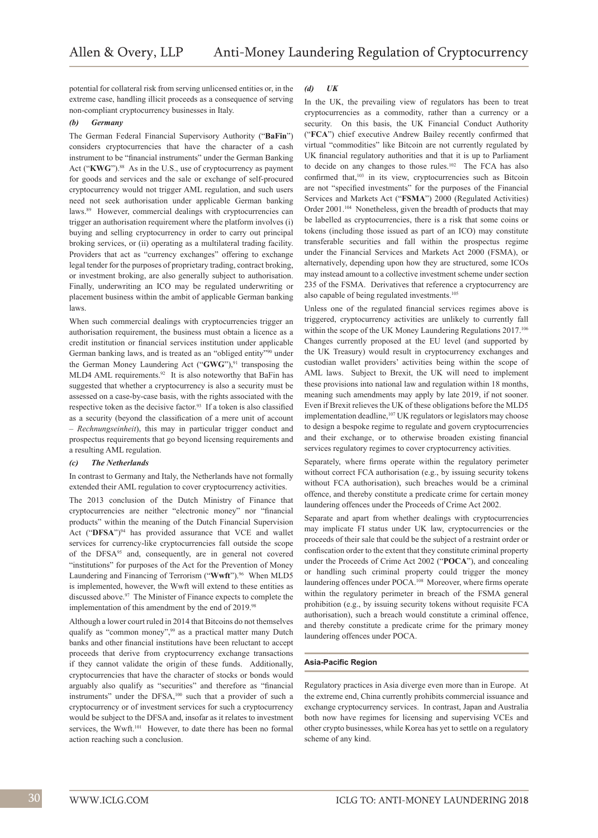potential for collateral risk from serving unlicensed entities or, in the extreme case, handling illicit proceeds as a consequence of serving non-compliant cryptocurrency businesses in Italy.

#### *(b) Germany*

The German Federal Financial Supervisory Authority ("**BaFin**") considers cryptocurrencies that have the character of a cash instrument to be "financial instruments" under the German Banking Act ("KWG").<sup>88</sup> As in the U.S., use of cryptocurrency as payment for goods and services and the sale or exchange of self-procured cryptocurrency would not trigger AML regulation, and such users need not seek authorisation under applicable German banking laws.<sup>89</sup> However, commercial dealings with cryptocurrencies can trigger an authorisation requirement where the platform involves (i) buying and selling cryptocurrency in order to carry out principal broking services, or (ii) operating as a multilateral trading facility. Providers that act as "currency exchanges" offering to exchange legal tender for the purposes of proprietary trading, contract broking, or investment broking, are also generally subject to authorisation. Finally, underwriting an ICO may be regulated underwriting or placement business within the ambit of applicable German banking laws.

When such commercial dealings with cryptocurrencies trigger an authorisation requirement, the business must obtain a licence as a credit institution or financial services institution under applicable German banking laws, and is treated as an "obliged entity"90 under the German Money Laundering Act ("GWG"),<sup>91</sup> transposing the MLD4 AML requirements.<sup>92</sup> It is also noteworthy that BaFin has suggested that whether a cryptocurrency is also a security must be assessed on a case-by-case basis, with the rights associated with the respective token as the decisive factor.<sup>93</sup> If a token is also classified as a security (beyond the classification of a mere unit of account – *Rechnungseinheit*), this may in particular trigger conduct and prospectus requirements that go beyond licensing requirements and a resulting AML regulation.

#### *(c) The Netherlands*

In contrast to Germany and Italy, the Netherlands have not formally extended their AML regulation to cover cryptocurrency activities.

The 2013 conclusion of the Dutch Ministry of Finance that cryptocurrencies are neither "electronic money" nor "financial products" within the meaning of the Dutch Financial Supervision Act ("DFSA")<sup>94</sup> has provided assurance that VCE and wallet services for currency-like cryptocurrencies fall outside the scope of the DFSA95 and, consequently, are in general not covered "institutions" for purposes of the Act for the Prevention of Money Laundering and Financing of Terrorism ("Wwft").<sup>96</sup> When MLD5 is implemented, however, the Wwft will extend to these entities as discussed above.97 The Minister of Finance expects to complete the implementation of this amendment by the end of 2019.<sup>98</sup>

Although a lower court ruled in 2014 that Bitcoins do not themselves qualify as "common money",<sup>99</sup> as a practical matter many Dutch banks and other financial institutions have been reluctant to accept proceeds that derive from cryptocurrency exchange transactions if they cannot validate the origin of these funds. Additionally, cryptocurrencies that have the character of stocks or bonds would arguably also qualify as "securities" and therefore as "financial instruments" under the DFSA,100 such that a provider of such a cryptocurrency or of investment services for such a cryptocurrency would be subject to the DFSA and, insofar as it relates to investment services, the Wwft.<sup>101</sup> However, to date there has been no formal action reaching such a conclusion.

#### *(d) UK*

In the UK, the prevailing view of regulators has been to treat cryptocurrencies as a commodity, rather than a currency or a security. On this basis, the UK Financial Conduct Authority ("**FCA**") chief executive Andrew Bailey recently confirmed that virtual "commodities" like Bitcoin are not currently regulated by UK financial regulatory authorities and that it is up to Parliament to decide on any changes to those rules.<sup>102</sup> The FCA has also confirmed that,<sup>103</sup> in its view, cryptocurrencies such as Bitcoin are not "specified investments" for the purposes of the Financial Services and Markets Act ("**FSMA**") 2000 (Regulated Activities) Order 2001.<sup>104</sup> Nonetheless, given the breadth of products that may be labelled as cryptocurrencies, there is a risk that some coins or tokens (including those issued as part of an ICO) may constitute transferable securities and fall within the prospectus regime under the Financial Services and Markets Act 2000 (FSMA), or alternatively, depending upon how they are structured, some ICOs may instead amount to a collective investment scheme under section 235 of the FSMA. Derivatives that reference a cryptocurrency are also capable of being regulated investments.<sup>105</sup>

Unless one of the regulated financial services regimes above is triggered, cryptocurrency activities are unlikely to currently fall within the scope of the UK Money Laundering Regulations 2017.106 Changes currently proposed at the EU level (and supported by the UK Treasury) would result in cryptocurrency exchanges and custodian wallet providers' activities being within the scope of AML laws. Subject to Brexit, the UK will need to implement these provisions into national law and regulation within 18 months, meaning such amendments may apply by late 2019, if not sooner. Even if Brexit relieves the UK of these obligations before the MLD5 implementation deadline,<sup>107</sup> UK regulators or legislators may choose to design a bespoke regime to regulate and govern cryptocurrencies and their exchange, or to otherwise broaden existing financial services regulatory regimes to cover cryptocurrency activities.

Separately, where firms operate within the regulatory perimeter without correct FCA authorisation (e.g., by issuing security tokens without FCA authorisation), such breaches would be a criminal offence, and thereby constitute a predicate crime for certain money laundering offences under the Proceeds of Crime Act 2002.

Separate and apart from whether dealings with cryptocurrencies may implicate FI status under UK law, cryptocurrencies or the proceeds of their sale that could be the subject of a restraint order or confiscation order to the extent that they constitute criminal property under the Proceeds of Crime Act 2002 ("**POCA**"), and concealing or handling such criminal property could trigger the money laundering offences under POCA.108 Moreover, where firms operate within the regulatory perimeter in breach of the FSMA general prohibition (e.g., by issuing security tokens without requisite FCA authorisation), such a breach would constitute a criminal offence, and thereby constitute a predicate crime for the primary money laundering offences under POCA.

#### **Asia-Pacific Region**

Regulatory practices in Asia diverge even more than in Europe. At the extreme end, China currently prohibits commercial issuance and exchange cryptocurrency services. In contrast, Japan and Australia both now have regimes for licensing and supervising VCEs and other crypto businesses, while Korea has yet to settle on a regulatory scheme of any kind.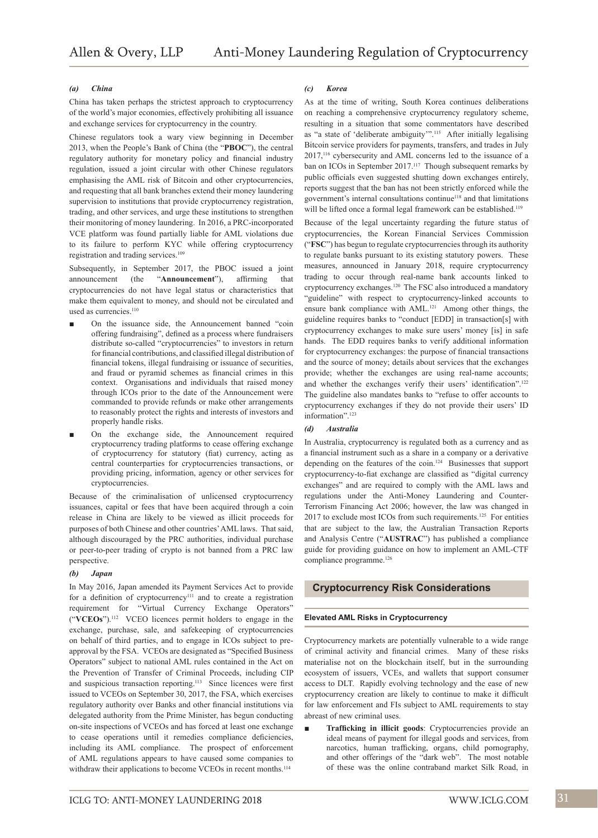#### *(a) China*

China has taken perhaps the strictest approach to cryptocurrency of the world's major economies, effectively prohibiting all issuance and exchange services for cryptocurrency in the country.

Chinese regulators took a wary view beginning in December 2013, when the People's Bank of China (the "**PBOC**"), the central regulatory authority for monetary policy and financial industry regulation, issued a joint circular with other Chinese regulators emphasising the AML risk of Bitcoin and other cryptocurrencies, and requesting that all bank branches extend their money laundering supervision to institutions that provide cryptocurrency registration, trading, and other services, and urge these institutions to strengthen their monitoring of money laundering. In 2016, a PRC-incorporated VCE platform was found partially liable for AML violations due to its failure to perform KYC while offering cryptocurrency registration and trading services.<sup>109</sup>

Subsequently, in September 2017, the PBOC issued a joint announcement (the "**Announcement**"), affirming that cryptocurrencies do not have legal status or characteristics that make them equivalent to money, and should not be circulated and used as currencies.<sup>110</sup>

- On the issuance side, the Announcement banned "coin offering fundraising", defined as a process where fundraisers distribute so-called "cryptocurrencies" to investors in return for financial contributions, and classified illegal distribution of financial tokens, illegal fundraising or issuance of securities, and fraud or pyramid schemes as financial crimes in this context. Organisations and individuals that raised money through ICOs prior to the date of the Announcement were commanded to provide refunds or make other arrangements to reasonably protect the rights and interests of investors and properly handle risks.
- On the exchange side, the Announcement required cryptocurrency trading platforms to cease offering exchange of cryptocurrency for statutory (fiat) currency, acting as central counterparties for cryptocurrencies transactions, or providing pricing, information, agency or other services for cryptocurrencies.

Because of the criminalisation of unlicensed cryptocurrency issuances, capital or fees that have been acquired through a coin release in China are likely to be viewed as illicit proceeds for purposes of both Chinese and other countries' AML laws. That said, although discouraged by the PRC authorities, individual purchase or peer-to-peer trading of crypto is not banned from a PRC law perspective.

#### *(b) Japan*

In May 2016, Japan amended its Payment Services Act to provide for a definition of cryptocurrency<sup>111</sup> and to create a registration requirement for "Virtual Currency Exchange Operators" ("**VCEOs**").112 VCEO licences permit holders to engage in the exchange, purchase, sale, and safekeeping of cryptocurrencies on behalf of third parties, and to engage in ICOs subject to preapproval by the FSA. VCEOs are designated as "Specified Business Operators" subject to national AML rules contained in the Act on the Prevention of Transfer of Criminal Proceeds, including CIP and suspicious transaction reporting.<sup>113</sup> Since licences were first issued to VCEOs on September 30, 2017, the FSA, which exercises regulatory authority over Banks and other financial institutions via delegated authority from the Prime Minister, has begun conducting on-site inspections of VCEOs and has forced at least one exchange to cease operations until it remedies compliance deficiencies, including its AML compliance. The prospect of enforcement of AML regulations appears to have caused some companies to withdraw their applications to become VCEOs in recent months.<sup>114</sup>

As at the time of writing, South Korea continues deliberations on reaching a comprehensive cryptocurrency regulatory scheme, resulting in a situation that some commentators have described as "a state of 'deliberate ambiguity'".<sup>115</sup> After initially legalising Bitcoin service providers for payments, transfers, and trades in July 2017,116 cybersecurity and AML concerns led to the issuance of a ban on ICOs in September 2017.<sup>117</sup> Though subsequent remarks by public officials even suggested shutting down exchanges entirely, reports suggest that the ban has not been strictly enforced while the government's internal consultations continue<sup>118</sup> and that limitations will be lifted once a formal legal framework can be established.<sup>119</sup>

Because of the legal uncertainty regarding the future status of cryptocurrencies, the Korean Financial Services Commission ("**FSC**") has begun to regulate cryptocurrencies through its authority to regulate banks pursuant to its existing statutory powers. These measures, announced in January 2018, require cryptocurrency trading to occur through real-name bank accounts linked to cryptocurrency exchanges.120 The FSC also introduced a mandatory "guideline" with respect to cryptocurrency-linked accounts to ensure bank compliance with AML.<sup>121</sup> Among other things, the guideline requires banks to "conduct [EDD] in transaction[s] with cryptocurrency exchanges to make sure users' money [is] in safe hands. The EDD requires banks to verify additional information for cryptocurrency exchanges: the purpose of financial transactions and the source of money; details about services that the exchanges provide; whether the exchanges are using real-name accounts; and whether the exchanges verify their users' identification".<sup>122</sup> The guideline also mandates banks to "refuse to offer accounts to cryptocurrency exchanges if they do not provide their users' ID information".123

#### *(d) Australia*

In Australia, cryptocurrency is regulated both as a currency and as a financial instrument such as a share in a company or a derivative depending on the features of the coin.<sup>124</sup> Businesses that support cryptocurrency-to-fiat exchange are classified as "digital currency exchanges" and are required to comply with the AML laws and regulations under the Anti-Money Laundering and Counter-Terrorism Financing Act 2006; however, the law was changed in  $2017$  to exclude most ICOs from such requirements.<sup>125</sup> For entities that are subject to the law, the Australian Transaction Reports and Analysis Centre ("**AUSTRAC**") has published a compliance guide for providing guidance on how to implement an AML-CTF compliance programme.<sup>126</sup>

## **Cryptocurrency Risk Considerations**

#### **Elevated AML Risks in Cryptocurrency**

Cryptocurrency markets are potentially vulnerable to a wide range of criminal activity and financial crimes. Many of these risks materialise not on the blockchain itself, but in the surrounding ecosystem of issuers, VCEs, and wallets that support consumer access to DLT. Rapidly evolving technology and the ease of new cryptocurrency creation are likely to continue to make it difficult for law enforcement and FIs subject to AML requirements to stay abreast of new criminal uses.

Trafficking in illicit goods: Cryptocurrencies provide an ideal means of payment for illegal goods and services, from narcotics, human trafficking, organs, child pornography, and other offerings of the "dark web". The most notable of these was the online contraband market Silk Road, in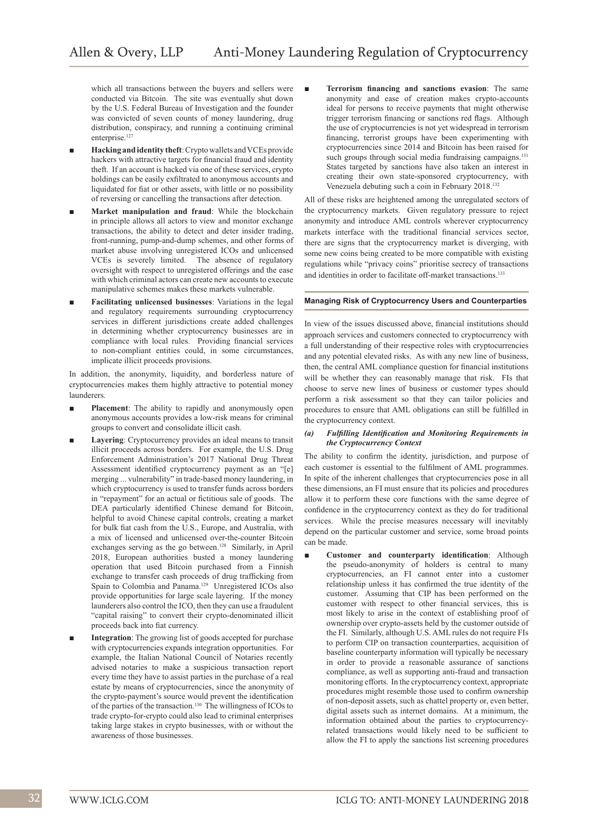which all transactions between the buyers and sellers were conducted via Bitcoin. The site was eventually shut down by the U.S. Federal Bureau of Investigation and the founder was convicted of seven counts of money laundering, drug distribution, conspiracy, and running a continuing criminal enterprise.<sup>127</sup>

- Hacking and identity theft: Crypto wallets and VCEs provide hackers with attractive targets for financial fraud and identity theft. If an account is hacked via one of these services, crypto holdings can be easily exfiltrated to anonymous accounts and liquidated for fiat or other assets, with little or no possibility of reversing or cancelling the transactions after detection.
- Market manipulation and fraud: While the blockchain in principle allows all actors to view and monitor exchange transactions, the ability to detect and deter insider trading, front-running, pump-and-dump schemes, and other forms of market abuse involving unregistered ICOs and unlicensed VCEs is severely limited. The absence of regulatory oversight with respect to unregistered offerings and the ease with which criminal actors can create new accounts to execute manipulative schemes makes these markets vulnerable.
- **Facilitating unlicensed businesses**: Variations in the legal and regulatory requirements surrounding cryptocurrency services in different jurisdictions create added challenges in determining whether cryptocurrency businesses are in compliance with local rules. Providing financial services to non-compliant entities could, in some circumstances, implicate illicit proceeds provisions.

In addition, the anonymity, liquidity, and borderless nature of cryptocurrencies makes them highly attractive to potential money launderers.

- **Placement**: The ability to rapidly and anonymously open anonymous accounts provides a low-risk means for criminal groups to convert and consolidate illicit cash.
- Layering: Cryptocurrency provides an ideal means to transit illicit proceeds across borders. For example, the U.S. Drug Enforcement Administration's 2017 National Drug Threat Assessment identified cryptocurrency payment as an "[e] merging ... vulnerability" in trade-based money laundering, in which cryptocurrency is used to transfer funds across borders in "repayment" for an actual or fictitious sale of goods. The DEA particularly identified Chinese demand for Bitcoin, helpful to avoid Chinese capital controls, creating a market for bulk fiat cash from the U.S., Europe, and Australia, with a mix of licensed and unlicensed over-the-counter Bitcoin exchanges serving as the go between.<sup>128</sup> Similarly, in April 2018, European authorities busted a money laundering operation that used Bitcoin purchased from a Finnish exchange to transfer cash proceeds of drug trafficking from Spain to Colombia and Panama.129 Unregistered ICOs also provide opportunities for large scale layering. If the money launderers also control the ICO, then they can use a fraudulent "capital raising" to convert their crypto-denominated illicit proceeds back into fiat currency.
- **Integration**: The growing list of goods accepted for purchase with cryptocurrencies expands integration opportunities. For example, the Italian National Council of Notaries recently advised notaries to make a suspicious transaction report every time they have to assist parties in the purchase of a real estate by means of cryptocurrencies, since the anonymity of the crypto-payment's source would prevent the identification of the parties of the transaction.130 The willingness of ICOs to trade crypto-for-crypto could also lead to criminal enterprises taking large stakes in crypto businesses, with or without the awareness of those businesses.

**Terrorism financing and sanctions evasion:** The same anonymity and ease of creation makes crypto-accounts ideal for persons to receive payments that might otherwise trigger terrorism financing or sanctions red flags. Although the use of cryptocurrencies is not yet widespread in terrorism financing, terrorist groups have been experimenting with cryptocurrencies since 2014 and Bitcoin has been raised for such groups through social media fundraising campaigns.<sup>131</sup> States targeted by sanctions have also taken an interest in creating their own state-sponsored cryptocurrency, with Venezuela debuting such a coin in February 2018.<sup>132</sup>

All of these risks are heightened among the unregulated sectors of the cryptocurrency markets. Given regulatory pressure to reject anonymity and introduce AML controls wherever cryptocurrency markets interface with the traditional financial services sector, there are signs that the cryptocurrency market is diverging, with some new coins being created to be more compatible with existing regulations while "privacy coins" prioritise secrecy of transactions and identities in order to facilitate off-market transactions.<sup>133</sup>

#### **Managing Risk of Cryptocurrency Users and Counterparties**

In view of the issues discussed above, financial institutions should approach services and customers connected to cryptocurrency with a full understanding of their respective roles with cryptocurrencies and any potential elevated risks. As with any new line of business, then, the central AML compliance question for financial institutions will be whether they can reasonably manage that risk. FIs that choose to serve new lines of business or customer types should perform a risk assessment so that they can tailor policies and procedures to ensure that AML obligations can still be fulfilled in the cryptocurrency context.

#### *(a) Fulfilling Identification and Monitoring Requirements in the Cryptocurrency Context*

The ability to confirm the identity, jurisdiction, and purpose of each customer is essential to the fulfilment of AML programmes. In spite of the inherent challenges that cryptocurrencies pose in all these dimensions, an FI must ensure that its policies and procedures allow it to perform these core functions with the same degree of confidence in the cryptocurrency context as they do for traditional services. While the precise measures necessary will inevitably depend on the particular customer and service, some broad points can be made.

Customer and counterparty identification: Although the pseudo-anonymity of holders is central to many cryptocurrencies, an FI cannot enter into a customer relationship unless it has confirmed the true identity of the customer. Assuming that CIP has been performed on the customer with respect to other financial services, this is most likely to arise in the context of establishing proof of ownership over crypto-assets held by the customer outside of the FI. Similarly, although U.S. AML rules do not require FIs to perform CIP on transaction counterparties, acquisition of baseline counterparty information will typically be necessary in order to provide a reasonable assurance of sanctions compliance, as well as supporting anti-fraud and transaction monitoring efforts. In the cryptocurrency context, appropriate procedures might resemble those used to confirm ownership of non-deposit assets, such as chattel property or, even better, digital assets such as internet domains. At a minimum, the information obtained about the parties to cryptocurrencyrelated transactions would likely need to be sufficient to allow the FI to apply the sanctions list screening procedures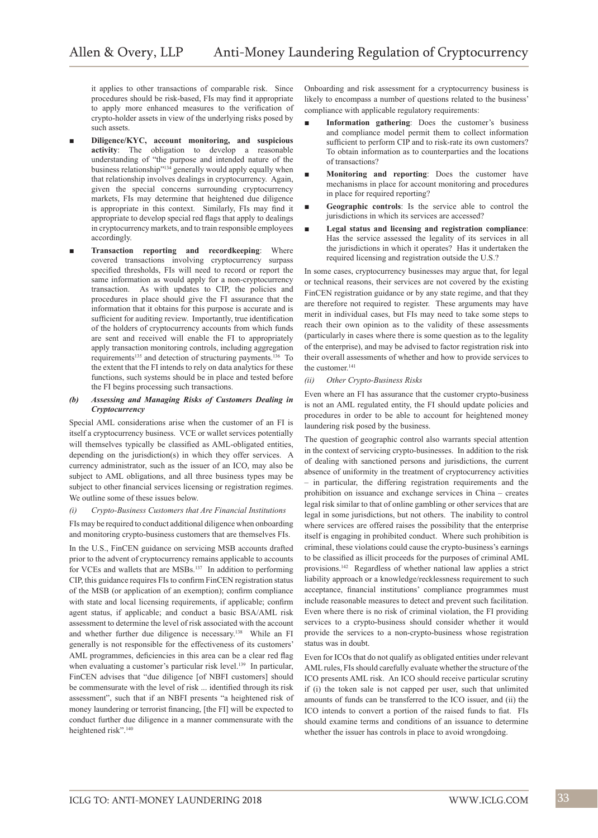it applies to other transactions of comparable risk. Since procedures should be risk-based, FIs may find it appropriate to apply more enhanced measures to the verification of crypto-holder assets in view of the underlying risks posed by such assets.

- **Diligence/KYC, account monitoring, and suspicious activity**: The obligation to develop a reasonable understanding of "the purpose and intended nature of the business relationship"<sup>134</sup> generally would apply equally when that relationship involves dealings in cryptocurrency. Again, given the special concerns surrounding cryptocurrency markets, FIs may determine that heightened due diligence is appropriate in this context. Similarly, FIs may find it appropriate to develop special red flags that apply to dealings in cryptocurrency markets, and to train responsible employees accordingly.
- **Transaction reporting and recordkeeping**: Where covered transactions involving cryptocurrency surpass specified thresholds, FIs will need to record or report the same information as would apply for a non-cryptocurrency transaction. As with updates to CIP, the policies and procedures in place should give the FI assurance that the information that it obtains for this purpose is accurate and is sufficient for auditing review. Importantly, true identification of the holders of cryptocurrency accounts from which funds are sent and received will enable the FI to appropriately apply transaction monitoring controls, including aggregation requirements135 and detection of structuring payments.136 To the extent that the FI intends to rely on data analytics for these functions, such systems should be in place and tested before the FI begins processing such transactions.

#### *(b) Assessing and Managing Risks of Customers Dealing in Cryptocurrency*

Special AML considerations arise when the customer of an FI is itself a cryptocurrency business. VCE or wallet services potentially will themselves typically be classified as AML-obligated entities, depending on the jurisdiction(s) in which they offer services. A currency administrator, such as the issuer of an ICO, may also be subject to AML obligations, and all three business types may be subject to other financial services licensing or registration regimes. We outline some of these issues below.

#### *(i) Crypto-Business Customers that Are Financial Institutions*

FIs may be required to conduct additional diligence when onboarding and monitoring crypto-business customers that are themselves FIs.

In the U.S., FinCEN guidance on servicing MSB accounts drafted prior to the advent of cryptocurrency remains applicable to accounts for VCEs and wallets that are MSBs.<sup>137</sup> In addition to performing CIP, this guidance requires FIs to confirm FinCEN registration status of the MSB (or application of an exemption); confirm compliance with state and local licensing requirements, if applicable; confirm agent status, if applicable; and conduct a basic BSA/AML risk assessment to determine the level of risk associated with the account and whether further due diligence is necessary.<sup>138</sup> While an FI generally is not responsible for the effectiveness of its customers' AML programmes, deficiencies in this area can be a clear red flag when evaluating a customer's particular risk level.<sup>139</sup> In particular, FinCEN advises that "due diligence [of NBFI customers] should be commensurate with the level of risk ... identified through its risk assessment", such that if an NBFI presents "a heightened risk of money laundering or terrorist financing, [the FI] will be expected to conduct further due diligence in a manner commensurate with the heightened risk".<sup>140</sup>

Onboarding and risk assessment for a cryptocurrency business is likely to encompass a number of questions related to the business' compliance with applicable regulatory requirements:

- **Information gathering**: Does the customer's business and compliance model permit them to collect information sufficient to perform CIP and to risk-rate its own customers? To obtain information as to counterparties and the locations of transactions?
- **Monitoring and reporting**: Does the customer have mechanisms in place for account monitoring and procedures in place for required reporting?
- **Geographic controls**: Is the service able to control the jurisdictions in which its services are accessed?
- Legal status and licensing and registration compliance: Has the service assessed the legality of its services in all the jurisdictions in which it operates? Has it undertaken the required licensing and registration outside the U.S.?

In some cases, cryptocurrency businesses may argue that, for legal or technical reasons, their services are not covered by the existing FinCEN registration guidance or by any state regime, and that they are therefore not required to register. These arguments may have merit in individual cases, but FIs may need to take some steps to reach their own opinion as to the validity of these assessments (particularly in cases where there is some question as to the legality of the enterprise), and may be advised to factor registration risk into their overall assessments of whether and how to provide services to the customer.<sup>141</sup>

#### *(ii) Other Crypto-Business Risks*

Even where an FI has assurance that the customer crypto-business is not an AML regulated entity, the FI should update policies and procedures in order to be able to account for heightened money laundering risk posed by the business.

The question of geographic control also warrants special attention in the context of servicing crypto-businesses. In addition to the risk of dealing with sanctioned persons and jurisdictions, the current absence of uniformity in the treatment of cryptocurrency activities – in particular, the differing registration requirements and the prohibition on issuance and exchange services in China – creates legal risk similar to that of online gambling or other services that are legal in some jurisdictions, but not others. The inability to control where services are offered raises the possibility that the enterprise itself is engaging in prohibited conduct. Where such prohibition is criminal, these violations could cause the crypto-business's earnings to be classified as illicit proceeds for the purposes of criminal AML provisions.142 Regardless of whether national law applies a strict liability approach or a knowledge/recklessness requirement to such acceptance, financial institutions' compliance programmes must include reasonable measures to detect and prevent such facilitation. Even where there is no risk of criminal violation, the FI providing services to a crypto-business should consider whether it would provide the services to a non-crypto-business whose registration status was in doubt.

Even for ICOs that do not qualify as obligated entities under relevant AML rules, FIs should carefully evaluate whether the structure of the ICO presents AML risk. An ICO should receive particular scrutiny if (i) the token sale is not capped per user, such that unlimited amounts of funds can be transferred to the ICO issuer, and (ii) the ICO intends to convert a portion of the raised funds to fiat. FIs should examine terms and conditions of an issuance to determine whether the issuer has controls in place to avoid wrongdoing.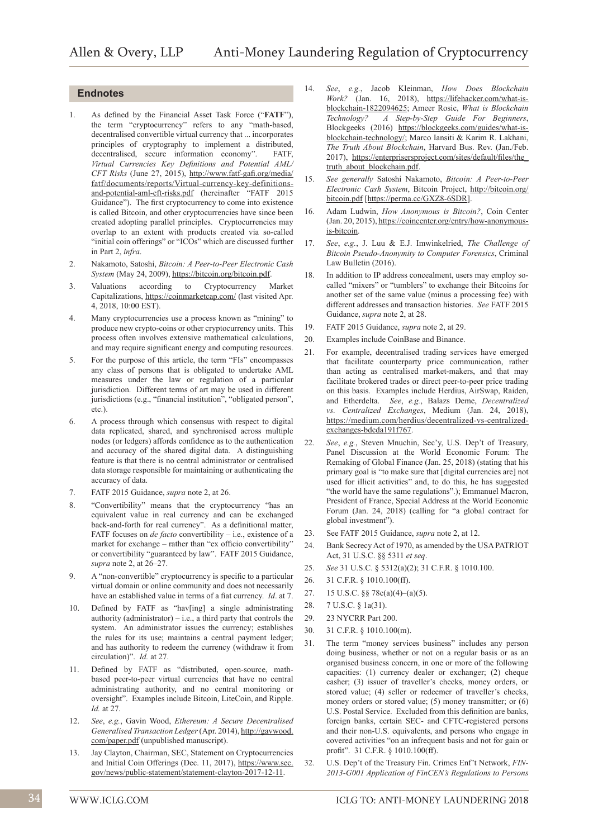### **Endnotes**

- 1. As defined by the Financial Asset Task Force ("**FATF**"), the term "cryptocurrency" refers to any "math-based, decentralised convertible virtual currency that ... incorporates principles of cryptography to implement a distributed, decentralised, secure information economy". FATF, *Virtual Currencies Key Definitions and Potential AML/ CFT Risks* (June 27, 2015), http://www.fatf-gafi.org/media/ fatf/documents/reports/Virtual-currency-key-definitionsand-potential-aml-cft-risks.pdf (hereinafter "FATF 2015 Guidance"). The first cryptocurrency to come into existence is called Bitcoin, and other cryptocurrencies have since been created adopting parallel principles. Cryptocurrencies may overlap to an extent with products created via so-called "initial coin offerings" or "ICOs" which are discussed further in Part 2, *infra*.
- 2. Nakamoto, Satoshi, *Bitcoin: A Peer-to-Peer Electronic Cash System* (May 24, 2009), https://bitcoin.org/bitcoin.pdf.
- 3. Valuations according to Cryptocurrency Market Capitalizations, https://coinmarketcap.com/ (last visited Apr. 4, 2018, 10:00 EST).
- 4. Many cryptocurrencies use a process known as "mining" to produce new crypto-coins or other cryptocurrency units. This process often involves extensive mathematical calculations, and may require significant energy and computing resources.
- 5. For the purpose of this article, the term "FIs" encompasses any class of persons that is obligated to undertake AML measures under the law or regulation of a particular jurisdiction. Different terms of art may be used in different jurisdictions (e.g., "financial institution", "obligated person", etc.).
- 6. A process through which consensus with respect to digital data replicated, shared, and synchronised across multiple nodes (or ledgers) affords confidence as to the authentication and accuracy of the shared digital data. A distinguishing feature is that there is no central administrator or centralised data storage responsible for maintaining or authenticating the accuracy of data.
- 7. FATF 2015 Guidance, *supra* note 2, at 26.
- 8. "Convertibility" means that the cryptocurrency "has an equivalent value in real currency and can be exchanged back-and-forth for real currency". As a definitional matter, FATF focuses on *de facto* convertibility – i.e., existence of a market for exchange – rather than "ex officio convertibility" or convertibility "guaranteed by law". FATF 2015 Guidance, *supra* note 2, at 26–27.
- 9. A "non-convertible" cryptocurrency is specific to a particular virtual domain or online community and does not necessarily have an established value in terms of a fiat currency. *Id*. at 7.
- 10. Defined by FATF as "hav[ing] a single administrating authority (administrator) – i.e., a third party that controls the system. An administrator issues the currency; establishes the rules for its use; maintains a central payment ledger; and has authority to redeem the currency (withdraw it from circulation)". *Id.* at 27.
- 11. Defined by FATF as "distributed, open-source, mathbased peer-to-peer virtual currencies that have no central administrating authority, and no central monitoring or oversight". Examples include Bitcoin, LiteCoin, and Ripple. *Id.* at 27.
- 12. *See*, *e.g.*, Gavin Wood, *Ethereum: A Secure Decentralised Generalised Transaction Ledger* (Apr. 2014), http://gavwood. com/paper.pdf (unpublished manuscript).
- 13. Jay Clayton, Chairman, SEC, Statement on Cryptocurrencies and Initial Coin Offerings (Dec. 11, 2017), https://www.sec. gov/news/public-statement/statement-clayton-2017-12-11.
- 14. *See*, *e.g.*, Jacob Kleinman, *How Does Blockchain Work?* (Jan. 16, 2018), https://lifehacker.com/what-isblockchain-1822094625; Ameer Rosic, *What is Blockchain Technology? A Step-by-Step Guide For Beginners*, Blockgeeks (2016) https://blockgeeks.com/guides/what-isblockchain-technology/; Marco Iansiti & Karim R. Lakhani, *The Truth About Blockchain*, Harvard Bus. Rev. (Jan./Feb. 2017), https://enterprisersproject.com/sites/default/files/the\_ truth\_about\_blockchain.pdf.
- 15. *See generally* Satoshi Nakamoto, *Bitcoin: A Peer-to-Peer Electronic Cash System*, Bitcoin Project, http://bitcoin.org/ bitcoin.pdf [https://perma.cc/GXZ8-6SDR].
- 16. Adam Ludwin, *How Anonymous is Bitcoin?*, Coin Center (Jan. 20, 2015), https://coincenter.org/entry/how-anonymousis-bitcoin.
- 17. *See*, *e.g.*, J. Luu & E.J. Imwinkelried, *The Challenge of Bitcoin Pseudo-Anonymity to Computer Forensics*, Criminal Law Bulletin (2016).
- 18. In addition to IP address concealment, users may employ socalled "mixers" or "tumblers" to exchange their Bitcoins for another set of the same value (minus a processing fee) with different addresses and transaction histories. *See* FATF 2015 Guidance, *supra* note 2, at 28.
- 19. FATF 2015 Guidance, *supra* note 2, at 29.
- 20. Examples include CoinBase and Binance.
- 21. For example, decentralised trading services have emerged that facilitate counterparty price communication, rather than acting as centralised market-makers, and that may facilitate brokered trades or direct peer-to-peer price trading on this basis. Examples include Herdius, AirSwap, Raiden, and Etherdelta. *See*, *e.g.*, Balazs Deme, *Decentralized vs. Centralized Exchanges*, Medium (Jan. 24, 2018), https://medium.com/herdius/decentralized-vs-centralizedexchanges-bdcda191f767.
- 22. *See*, *e.g.*, Steven Mnuchin, Sec'y, U.S. Dep't of Treasury, Panel Discussion at the World Economic Forum: The Remaking of Global Finance (Jan. 25, 2018) (stating that his primary goal is "to make sure that [digital currencies are] not used for illicit activities" and, to do this, he has suggested "the world have the same regulations".); Emmanuel Macron, President of France, Special Address at the World Economic Forum (Jan. 24, 2018) (calling for "a global contract for global investment").
- 23. See FATF 2015 Guidance, *supra* note 2, at 12.
- 24. Bank Secrecy Act of 1970, as amended by the USA PATRIOT Act, 31 U.S.C. §§ 5311 *et seq*.
- 25. *See* 31 U.S.C. § 5312(a)(2); 31 C.F.R. § 1010.100.
- 26. 31 C.F.R. § 1010.100(ff).
- 27. 15 U.S.C. §§ 78c(a)(4)–(a)(5).
- 28. 7 U.S.C. § 1a(31).
- 29. 23 NYCRR Part 200.
- 30. 31 C.F.R. § 1010.100(m).
- 31. The term "money services business" includes any person doing business, whether or not on a regular basis or as an organised business concern, in one or more of the following capacities: (1) currency dealer or exchanger; (2) cheque casher; (3) issuer of traveller's checks, money orders, or stored value; (4) seller or redeemer of traveller's checks, money orders or stored value; (5) money transmitter; or (6) U.S. Postal Service. Excluded from this definition are banks, foreign banks, certain SEC- and CFTC-registered persons and their non-U.S. equivalents, and persons who engage in covered activities "on an infrequent basis and not for gain or profit". 31 C.F.R. § 1010.100(ff).
- 32. U.S. Dep't of the Treasury Fin. Crimes Enf't Network, *FIN-2013-G001 Application of FinCEN's Regulations to Persons*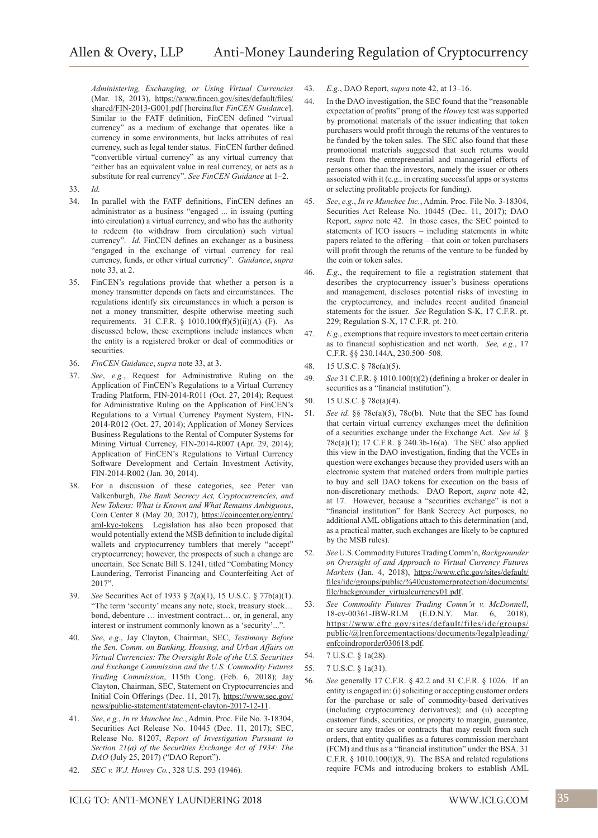*Administering, Exchanging, or Using Virtual Currencies* (Mar. 18, 2013), https://www.fincen.gov/sites/default/files/ shared/FIN-2013-G001.pdf [hereinafter *FinCEN Guidance*]. Similar to the FATF definition, FinCEN defined "virtual currency" as a medium of exchange that operates like a currency in some environments, but lacks attributes of real currency, such as legal tender status. FinCEN further defined "convertible virtual currency" as any virtual currency that "either has an equivalent value in real currency, or acts as a substitute for real currency". *See FinCEN Guidance* at 1–2.

- 33. *Id.*
- 34. In parallel with the FATF definitions, FinCEN defines an administrator as a business "engaged ... in issuing (putting into circulation) a virtual currency, and who has the authority to redeem (to withdraw from circulation) such virtual currency". *Id.* FinCEN defines an exchanger as a business "engaged in the exchange of virtual currency for real currency, funds, or other virtual currency". *Guidance*, *supra* note 33, at 2.
- 35. FinCEN's regulations provide that whether a person is a money transmitter depends on facts and circumstances. The regulations identify six circumstances in which a person is not a money transmitter, despite otherwise meeting such requirements. 31 C.F.R. § 1010.100(ff)(5)(ii)(A)–(F). As discussed below, these exemptions include instances when the entity is a registered broker or deal of commodities or securities.
- 36. *FinCEN Guidance*, *supra* note 33, at 3.
- 37. *See*, *e.g.*, Request for Administrative Ruling on the Application of FinCEN's Regulations to a Virtual Currency Trading Platform, FIN-2014-R011 (Oct. 27, 2014); Request for Administrative Ruling on the Application of FinCEN's Regulations to a Virtual Currency Payment System, FIN-2014-R012 (Oct. 27, 2014); Application of Money Services Business Regulations to the Rental of Computer Systems for Mining Virtual Currency, FIN-2014-R007 (Apr. 29, 2014); Application of FinCEN's Regulations to Virtual Currency Software Development and Certain Investment Activity, FIN-2014-R002 (Jan. 30, 2014).
- 38. For a discussion of these categories, see Peter van Valkenburgh, *The Bank Secrecy Act, Cryptocurrencies, and New Tokens: What is Known and What Remains Ambiguous*, Coin Center 8 (May 20, 2017), https://coincenter.org/entry/ aml-kyc-tokens. Legislation has also been proposed that would potentially extend the MSB definition to include digital wallets and cryptocurrency tumblers that merely "accept" cryptocurrency; however, the prospects of such a change are uncertain. See Senate Bill S. 1241, titled "Combating Money Laundering, Terrorist Financing and Counterfeiting Act of 2017".
- 39. *See* Securities Act of 1933 § 2(a)(1), 15 U.S.C. § 77b(a)(1). "The term 'security' means any note, stock, treasury stock… bond, debenture … investment contract… or, in general, any interest or instrument commonly known as a 'security'...'
- 40. *See*, *e.g.*, Jay Clayton, Chairman, SEC, *Testimony Before the Sen. Comm. on Banking, Housing, and Urban Affairs on Virtual Currencies: The Oversight Role of the U.S. Securities and Exchange Commission and the U.S. Commodity Futures Trading Commission*, 115th Cong. (Feb. 6, 2018); Jay Clayton, Chairman, SEC, Statement on Cryptocurrencies and Initial Coin Offerings (Dec. 11, 2017), https://www.sec.gov/ news/public-statement/statement-clayton-2017-12-11.
- 41. *See*, *e.g.*, *In re Munchee Inc.*, Admin. Proc. File No. 3-18304, Securities Act Release No. 10445 (Dec. 11, 2017); SEC, Release No. 81207, *Report of Investigation Pursuant to Section 21(a) of the Securities Exchange Act of 1934: The DAO* (July 25, 2017) ("DAO Report").
- 42. *SEC v. W.J. Howey Co.*, 328 U.S. 293 (1946).
- 43. *E.g.*, DAO Report, *supra* note 42, at 13–16.
- 44. In the DAO investigation, the SEC found that the "reasonable expectation of profits" prong of the *Howey* test was supported by promotional materials of the issuer indicating that token purchasers would profit through the returns of the ventures to be funded by the token sales. The SEC also found that these promotional materials suggested that such returns would result from the entrepreneurial and managerial efforts of persons other than the investors, namely the issuer or others associated with it (e.g., in creating successful apps or systems or selecting profitable projects for funding).
- 45. *See*, *e.g.*, *In re Munchee Inc.*, Admin. Proc. File No. 3-18304, Securities Act Release No. 10445 (Dec. 11, 2017); DAO Report, *supra* note 42. In those cases, the SEC pointed to statements of ICO issuers – including statements in white papers related to the offering – that coin or token purchasers will profit through the returns of the venture to be funded by the coin or token sales.
- 46. *E.g.*, the requirement to file a registration statement that describes the cryptocurrency issuer's business operations and management, discloses potential risks of investing in the cryptocurrency, and includes recent audited financial statements for the issuer. *See* Regulation S-K, 17 C.F.R. pt. 229; Regulation S-X, 17 C.F.R. pt. 210.
- 47. *E.g.*, exemptions that require investors to meet certain criteria as to financial sophistication and net worth. *See, e.g.*, 17 C.F.R. §§ 230.144A, 230.500–508.
- 48. 15 U.S.C. § 78c(a)(5).
- 49. *See* 31 C.F.R. § 1010.100(t)(2) (defining a broker or dealer in securities as a "financial institution").
- 50. 15 U.S.C. § 78c(a)(4).
- 51. *See id.* §§ 78c(a)(5), 78o(b). Note that the SEC has found that certain virtual currency exchanges meet the definition of a securities exchange under the Exchange Act. *See id.* § 78c(a)(1); 17 C.F.R. § 240.3b-16(a). The SEC also applied this view in the DAO investigation, finding that the VCEs in question were exchanges because they provided users with an electronic system that matched orders from multiple parties to buy and sell DAO tokens for execution on the basis of non-discretionary methods. DAO Report, *supra* note 42, at 17. However, because a "securities exchange" is not a "financial institution" for Bank Secrecy Act purposes, no additional AML obligations attach to this determination (and, as a practical matter, such exchanges are likely to be captured by the MSB rules).
- 52. *See* U.S. Commodity Futures Trading Comm'n, *Backgrounder on Oversight of and Approach to Virtual Currency Futures Markets* (Jan. 4, 2018), https://www.cftc.gov/sites/default/ files/idc/groups/public/%40customerprotection/documents/ file/backgrounder\_virtualcurrency01.pdf.
- 53. *See Commodity Futures Trading Comm'n v. McDonnell*, 18-cv-00361-JBW-RLM (E.D.N.Y. Mar. 6, 2018), https://www.cftc.gov/sites/default/files/idc/groups/ public/@lrenforcementactions/documents/legalpleading/ enfcoindroporder030618.pdf.
- 54. 7 U.S.C. § 1a(28).
- 55. 7 U.S.C. § 1a(31).
- 56. *See* generally 17 C.F.R. § 42.2 and 31 C.F.R. § 1026. If an entity is engaged in: (i) soliciting or accepting customer orders for the purchase or sale of commodity-based derivatives (including cryptocurrency derivatives); and (ii) accepting customer funds, securities, or property to margin, guarantee, or secure any trades or contracts that may result from such orders, that entity qualifies as a futures commission merchant (FCM) and thus as a "financial institution" under the BSA. 31 C.F.R.  $\S$  1010.100(t)(8, 9). The BSA and related regulations require FCMs and introducing brokers to establish AML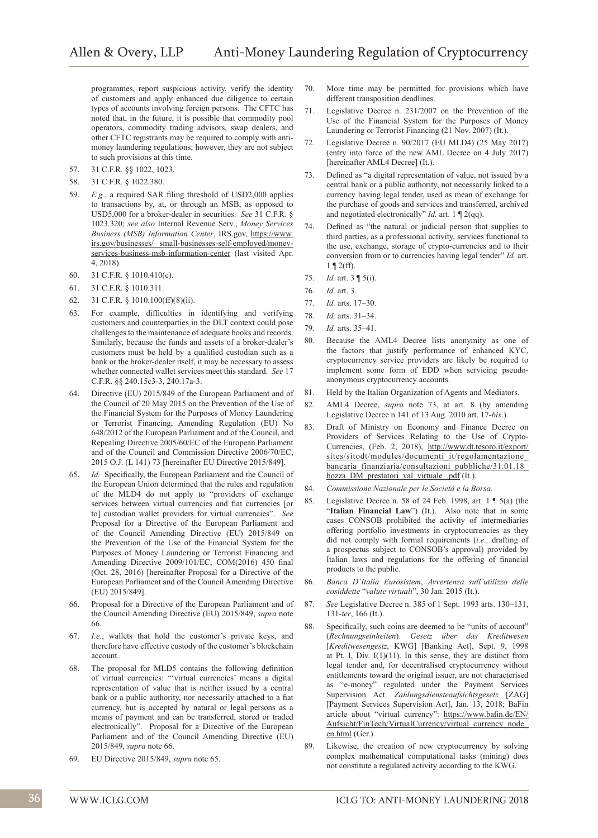programmes, report suspicious activity, verify the identity of customers and apply enhanced due diligence to certain types of accounts involving foreign persons. The CFTC has noted that, in the future, it is possible that commodity pool operators, commodity trading advisors, swap dealers, and other CFTC registrants may be required to comply with antimoney laundering regulations; however, they are not subject to such provisions at this time.

- 57. 31 C.F.R. §§ 1022, 1023.
- 58. 31 C.F.R. § 1022.380.
- 59. *E.g.*, a required SAR filing threshold of USD2,000 applies to transactions by, at, or through an MSB, as opposed to USD5,000 for a broker-dealer in securities. *See* 31 C.F.R. § 1023.320; *see also* Internal Revenue Serv., *Money Services Business (MSB) Information Center*, IRS.gov, https://www. irs.gov/businesses/ small-businesses-self-employed/moneyservices-business-msb-information-center (last visited Apr. 4, 2018).
- 60. 31 C.F.R. § 1010.410(e).
- 61. 31 C.F.R. § 1010.311.
- 62. 31 C.F.R. § 1010.100(ff)(8)(ii).
- 63. For example, difficulties in identifying and verifying customers and counterparties in the DLT context could pose challenges to the maintenance of adequate books and records. Similarly, because the funds and assets of a broker-dealer's customers must be held by a qualified custodian such as a bank or the broker-dealer itself, it may be necessary to assess whether connected wallet services meet this standard. *See* 17 C.F.R. §§ 240.15c3-3, 240.17a-3.
- 64. Directive (EU) 2015/849 of the European Parliament and of the Council of 20 May 2015 on the Prevention of the Use of the Financial System for the Purposes of Money Laundering or Terrorist Financing, Amending Regulation (EU) No 648/2012 of the European Parliament and of the Council, and Repealing Directive 2005/60/EC of the European Parliament and of the Council and Commission Directive 2006/70/EC, 2015 O.J. (L 141) 73 [hereinafter EU Directive 2015/849].
- Id. Specifically, the European Parliament and the Council of the European Union determined that the rules and regulation of the MLD4 do not apply to "providers of exchange services between virtual currencies and fiat currencies [or to] custodian wallet providers for virtual currencies". *See* Proposal for a Directive of the European Parliament and of the Council Amending Directive (EU) 2015/849 on the Prevention of the Use of the Financial System for the Purposes of Money Laundering or Terrorist Financing and Amending Directive 2009/101/EC, COM(2016) 450 final (Oct. 28, 2016) [hereinafter Proposal for a Directive of the European Parliament and of the Council Amending Directive (EU) 2015/849].
- 66. Proposal for a Directive of the European Parliament and of the Council Amending Directive (EU) 2015/849, *supra* note 66.
- 67. *I.e.*, wallets that hold the customer's private keys, and therefore have effective custody of the customer's blockchain account.
- 68. The proposal for MLD5 contains the following definition of virtual currencies: "'virtual currencies' means a digital representation of value that is neither issued by a central bank or a public authority, nor necessarily attached to a fiat currency, but is accepted by natural or legal persons as a means of payment and can be transferred, stored or traded electronically". Proposal for a Directive of the European Parliament and of the Council Amending Directive (EU) 2015/849, *supra* note 66.
- 69. EU Directive 2015/849, *supra* note 65.
- 70. More time may be permitted for provisions which have different transposition deadlines.
- 71. Legislative Decree n. 231/2007 on the Prevention of the Use of the Financial System for the Purposes of Money Laundering or Terrorist Financing (21 Nov. 2007) (It.).
- 72. Legislative Decree n. 90/2017 (EU MLD4) (25 May 2017) (entry into force of the new AML Decree on 4 July 2017) [hereinafter AML4 Decree] (It.).
- 73. Defined as "a digital representation of value, not issued by a central bank or a public authority, not necessarily linked to a currency having legal tender, used as mean of exchange for the purchase of goods and services and transferred, archived and negotiated electronically" *Id.* art. 1 ¶ 2(qq).
- 74. Defined as "the natural or judicial person that supplies to third parties, as a professional activity, services functional to the use, exchange, storage of crypto-currencies and to their conversion from or to currencies having legal tender" *Id.* art.  $1 \n\P 2(ff)$ .
- 75. *Id.* art. 3 ¶ 5(i).
- 76. *Id.* art. 3.
- 77. *Id.* arts. 17–30.
- 78. *Id.* arts. 31–34.
- 79. *Id.* arts. 35–41.
- 80. Because the AML4 Decree lists anonymity as one of the factors that justify performance of enhanced KYC, cryptocurrency service providers are likely be required to implement some form of EDD when servicing pseudoanonymous cryptocurrency accounts.
- 81. Held by the Italian Organization of Agents and Mediators.
- 82. AML4 Decree, *supra* note 73, at art. 8 (by amending Legislative Decree n.141 of 13 Aug. 2010 art. 17-*bis*.).
- 83. Draft of Ministry on Economy and Finance Decree on Providers of Services Relating to the Use of Crypto-Currencies, (Feb. 2, 2018), http://www.dt.tesoro.it/export/ sites/sitodt/modules/documenti\_it/regolamentazione\_ bancaria\_finanziaria/consultazioni\_pubbliche/31.01.18\_ bozza\_DM\_prestatori\_val\_virtuale\_.pdf (It.).
- 84. *Commissione Nazionale per le Società e la Borsa*.
- 85. Legislative Decree n. 58 of 24 Feb. 1998, art. 1 ¶ 5(a) (the "Italian Financial Law") (It.). Also note that in some cases CONSOB prohibited the activity of intermediaries offering portfolio investments in cryptocurrencies as they did not comply with formal requirements (*i.e.,* drafting of a prospectus subject to CONSOB's approval) provided by Italian laws and regulations for the offering of financial products to the public.
- 86. *Banca D'Italia Eurosistem*, *Avvertenza sull'utilizzo delle cosiddette* "*valute virtuali*", 30 Jan. 2015 (It.).
- 87. *See* Legislative Decree n. 385 of 1 Sept. 1993 arts. 130–131, 131-*ter*, 166 (It.).
- 88. Specifically, such coins are deemed to be "units of account" (*Rechnungseinheiten*). *Gesetz über das Kreditwesen* [*Kreditwesengestz*, KWG] [Banking Act], Sept. 9, 1998 at Pt. I, Div.  $I(1)(11)$ . In this sense, they are distinct from legal tender and, for decentralised cryptocurrency without entitlements toward the original issuer, are not characterised as "e-money" regulated under the Payment Services Supervision Act. *Zahlungsdiensteaufsichtsgesetz* [ZAG] [Payment Services Supervision Act], Jan. 13, 2018; BaFin article about "virtual currency": https://www.bafin.de/EN/ Aufsicht/FinTech/VirtualCurrency/virtual\_currency\_node\_ en.html (Ger.).
- 89. Likewise, the creation of new cryptocurrency by solving complex mathematical computational tasks (mining) does not constitute a regulated activity according to the KWG.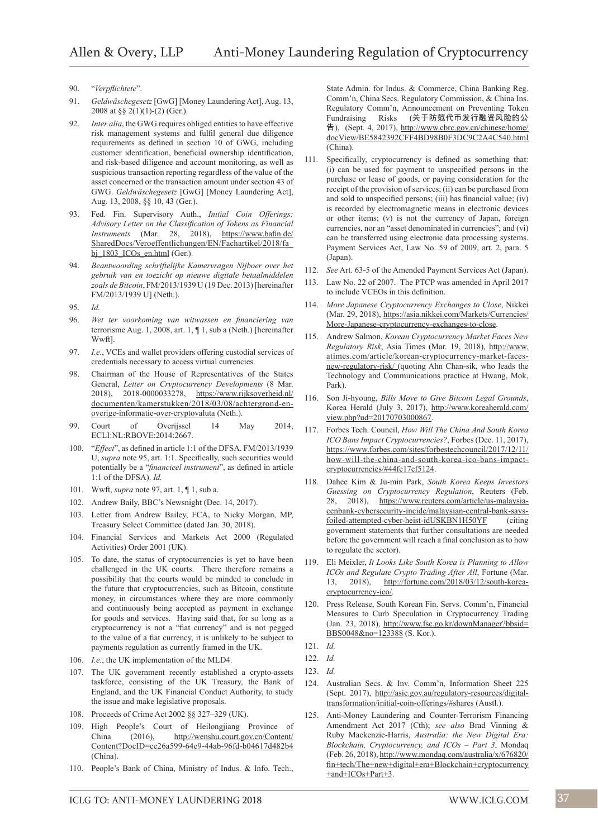- 90. "*Verpflichtete*".
- 91. *Geldwäschegesetz* [GwG] [Money Laundering Act], Aug. 13, 2008 at §§ 2(1)(1)-(2) (Ger.).
- 92. *Inter alia*, the GWG requires obliged entities to have effective risk management systems and fulfil general due diligence requirements as defined in section 10 of GWG, including customer identification, beneficial ownership identification, and risk-based diligence and account monitoring, as well as suspicious transaction reporting regardless of the value of the asset concerned or the transaction amount under section 43 of GWG. *Geldwäschegesetz* [GwG] [Money Laundering Act], Aug. 13, 2008, §§ 10, 43 (Ger.).
- 93. Fed. Fin. Supervisory Auth., *Initial Coin Offerings: Advisory Letter on the Classification of Tokens as Financial Instruments* (Mar. 28, 2018), https://www.bafin.de/ SharedDocs/Veroeffentlichungen/EN/Fachartikel/2018/fa\_ bj\_1803\_ICOs\_en.html (Ger.).
- 94. *Beantwoording schriftelijke Kamervragen Nijboer over het gebruik van en toezicht op nieuwe digitale betaalmiddelen zoals de Bitcoin*, FM/2013/1939 U (19 Dec. 2013) [hereinafter FM/2013/1939 U] (Neth.).
- 95. *Id.*
- 96. *Wet ter voorkoming van witwassen en financiering van* terrorisme Aug. 1, 2008, art. 1, ¶ 1, sub a (Neth.) [hereinafter Wwft].
- 97. *I.e.*, VCEs and wallet providers offering custodial services of credentials necessary to access virtual currencies.
- 98. Chairman of the House of Representatives of the States General, *Letter on Cryptocurrency Developments* (8 Mar. 2018), 2018-0000033278, https://www.rijksoverheid.nl/ documenten/kamerstukken/2018/03/08/achtergrond-enoverige-informatie-over-cryptovaluta (Neth.).
- 99. Court of Overijssel 14 May 2014, ECLI:NL:RBOVE:2014:2667.
- 100. "*Effect*", as defined in article 1:1 of the DFSA. FM/2013/1939 U, *supra* note 95, art. 1:1. Specifically, such securities would potentially be a "*financieel instrument*", as defined in article 1:1 of the DFSA). *Id.*
- 101. Wwft, *supra* note 97, art. 1, ¶ 1, sub a.
- 102. Andrew Baily, BBC's Newsnight (Dec. 14, 2017).
- 103. Letter from Andrew Bailey, FCA, to Nicky Morgan, MP, Treasury Select Committee (dated Jan. 30, 2018).
- 104. Financial Services and Markets Act 2000 (Regulated Activities) Order 2001 (UK).
- 105. To date, the status of cryptocurrencies is yet to have been challenged in the UK courts. There therefore remains a possibility that the courts would be minded to conclude in the future that cryptocurrencies, such as Bitcoin, constitute money, in circumstances where they are more commonly and continuously being accepted as payment in exchange for goods and services. Having said that, for so long as a cryptocurrency is not a "fiat currency" and is not pegged to the value of a fiat currency, it is unlikely to be subject to payments regulation as currently framed in the UK.
- 106. *I.e.*, the UK implementation of the MLD4.
- 107. The UK government recently established a crypto-assets taskforce, consisting of the UK Treasury, the Bank of England, and the UK Financial Conduct Authority, to study the issue and make legislative proposals.
- 108. Proceeds of Crime Act 2002 §§ 327–329 (UK).
- 109. High People's Court of Heilongjiang Province of China (2016), http://wenshu.court.gov.cn/Content/ Content?DocID=ce26a599-64e9-44ab-96fd-b04617d482b4 (China).
- 110. People's Bank of China, Ministry of Indus. & Info. Tech.,

State Admin. for Indus. & Commerce, China Banking Reg. Comm'n, China Secs. Regulatory Commission, & China Ins. Regulatory Comm'n, Announcement on Preventing Token Fundraising Risks (关于防范代币发行融资风险的公 告), (Sept. 4, 2017), http://www.cbrc.gov.cn/chinese/home/ docView/BE5842392CFF4BD98B0F3DC9C2A4C540.html (China).

- 111. Specifically, cryptocurrency is defined as something that: (i) can be used for payment to unspecified persons in the purchase or lease of goods, or paying consideration for the receipt of the provision of services; (ii) can be purchased from and sold to unspecified persons; (iii) has financial value; (iv) is recorded by electromagnetic means in electronic devices or other items; (v) is not the currency of Japan, foreign currencies, nor an "asset denominated in currencies"; and (vi) can be transferred using electronic data processing systems. Payment Services Act, Law No. 59 of 2009, art. 2, para. 5 (Japan).
- 112. *See* Art. 63-5 of the Amended Payment Services Act (Japan).
- 113. Law No. 22 of 2007. The PTCP was amended in April 2017 to include VCEOs in this definition.
- 114. *More Japanese Cryptocurrency Exchanges to Close*, Nikkei (Mar. 29, 2018), https://asia.nikkei.com/Markets/Currencies/ More-Japanese-cryptocurrency-exchanges-to-close.
- 115. Andrew Salmon, *Korean Cryptocurrency Market Faces New Regulatory Risk*, Asia Times (Mar. 19, 2018), http://www. atimes.com/article/korean-cryptocurrency-market-facesnew-regulatory-risk/ (quoting Ahn Chan-sik, who leads the Technology and Communications practice at Hwang, Mok, Park).
- 116. Son Ji-hyoung, *Bills Move to Give Bitcoin Legal Grounds*, Korea Herald (July 3, 2017), http://www.koreaherald.com/ view.php?ud=20170703000867.
- 117. Forbes Tech. Council, *How Will The China And South Korea ICO Bans Impact Cryptocurrencies?*, Forbes (Dec. 11, 2017), https://www.forbes.com/sites/forbestechcouncil/2017/12/11/ how-will-the-china-and-south-korea-ico-bans-impactcryptocurrencies/#44fe17ef5124.
- 118. Dahee Kim & Ju-min Park, *South Korea Keeps Investors Guessing on Cryptocurrency Regulation*, Reuters (Feb. 28, 2018), https://www.reuters.com/article/us-malaysiacenbank-cybersecurity-incide/malaysian-central-bank-saysfoiled-attempted-cyber-heist-idUSKBN1H50YF (citing government statements that further consultations are needed before the government will reach a final conclusion as to how to regulate the sector).
- 119. Eli Meixler, *It Looks Like South Korea is Planning to Allow ICOs and Regulate Crypto Trading After All*, Fortune (Mar. 13, 2018), http://fortune.com/2018/03/12/south-koreacryptocurrency-ico/.
- 120. Press Release, South Korean Fin. Servs. Comm'n, Financial Measures to Curb Speculation in Cryptocurrency Trading (Jan. 23, 2018), http://www.fsc.go.kr/downManager?bbsid= BBS0048&no=123388 (S. Kor.).
- 121. *Id.*
- 122. *Id.*
- 123. *Id.*
- 124. Australian Secs. & Inv. Comm'n, Information Sheet 225 (Sept. 2017), http://asic.gov.au/regulatory-resources/digitaltransformation/initial-coin-offerings/#shares (Austl.).
- 125. Anti-Money Laundering and Counter-Terrorism Financing Amendment Act 2017 (Cth); *see also* Brad Vinning & Ruby Mackenzie-Harris, *Australia: the New Digital Era: Blockchain, Cryptocurrency, and ICOs – Part 3*, Mondaq (Feb. 26, 2018), http://www.mondaq.com/australia/x/676820/ fin+tech/The+new+digital+era+Blockchain+cryptocurrency +and+ICOs+Part+3.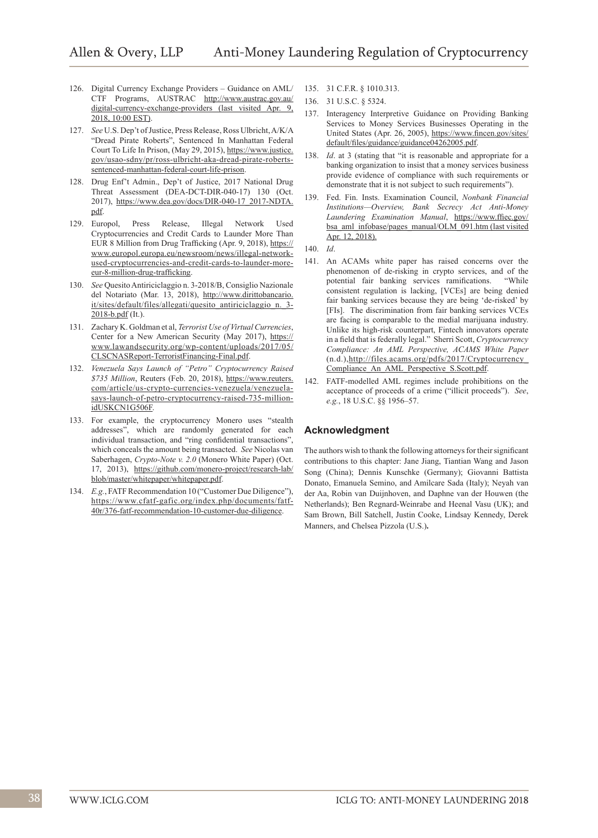- 126. Digital Currency Exchange Providers Guidance on AML/ CTF Programs, AUSTRAC http://www.austrac.gov.au/ digital-currency-exchange-providers (last visited Apr. 9, 2018, 10:00 EST).
- 127. *See* U.S. Dep't of Justice, Press Release, Ross Ulbricht, A/K/A "Dread Pirate Roberts", Sentenced In Manhattan Federal Court To Life In Prison, (May 29, 2015), https://www.justice. gov/usao-sdny/pr/ross-ulbricht-aka-dread-pirate-robertssentenced-manhattan-federal-court-life-prison.
- 128. Drug Enf't Admin., Dep't of Justice, 2017 National Drug Threat Assessment (DEA-DCT-DIR-040-17) 130 (Oct. 2017), https://www.dea.gov/docs/DIR-040-17\_2017-NDTA. pdf.
- 129. Europol, Press Release, Illegal Network Used Cryptocurrencies and Credit Cards to Launder More Than EUR 8 Million from Drug Trafficking (Apr. 9, 2018), https:// www.europol.europa.eu/newsroom/news/illegal-networkused-cryptocurrencies-and-credit-cards-to-launder-moreeur-8-million-drug-trafficking.
- 130. *See* Quesito Antiriciclaggio n. 3-2018/B, Consiglio Nazionale del Notariato (Mar. 13, 2018), http://www.dirittobancario. it/sites/default/files/allegati/quesito\_antiriciclaggio\_n.\_3- 2018-b.pdf (It.).
- 131. Zachary K. Goldman et al, *Terrorist Use of Virtual Currencies*, Center for a New American Security (May 2017), https:// www.lawandsecurity.org/wp-content/uploads/2017/05/ CLSCNASReport-TerroristFinancing-Final.pdf.
- 132. *Venezuela Says Launch of "Petro" Cryptocurrency Raised \$735 Million*, Reuters (Feb. 20, 2018), https://www.reuters. com/article/us-crypto-currencies-venezuela/venezuelasays-launch-of-petro-cryptocurrency-raised-735-millionidUSKCN1G506F.
- 133. For example, the cryptocurrency Monero uses "stealth addresses", which are randomly generated for each individual transaction, and "ring confidential transactions", which conceals the amount being transacted. *See* Nicolas van Saberhagen, *Crypto-Note v. 2.0* (Monero White Paper) (Oct. 17, 2013), https://github.com/monero-project/research-lab/ blob/master/whitepaper/whitepaper.pdf.
- 134. *E.g.*, FATF Recommendation 10 ("Customer Due Diligence"), https://www.cfatf-gafic.org/index.php/documents/fatf-40r/376-fatf-recommendation-10-customer-due-diligence.
- 135. 31 C.F.R. § 1010.313.
- 136. 31 U.S.C. § 5324.
- 137. Interagency Interpretive Guidance on Providing Banking Services to Money Services Businesses Operating in the United States (Apr. 26, 2005), https://www.fincen.gov/sites/ default/files/guidance/guidance04262005.pdf.
- 138. *Id*. at 3 (stating that "it is reasonable and appropriate for a banking organization to insist that a money services business provide evidence of compliance with such requirements or demonstrate that it is not subject to such requirements").
- 139. Fed. Fin. Insts. Examination Council, *Nonbank Financial Institutions—Overview, Bank Secrecy Act Anti-Money Laundering Examination Manual*, https://www.ffiec.gov/ bsa\_aml\_infobase/pages\_manual/OLM\_091.htm (last visited Apr. 12, 2018).
- 140. *Id*.
- 141. An ACAMs white paper has raised concerns over the phenomenon of de-risking in crypto services, and of the potential fair banking services ramifications. "While consistent regulation is lacking, [VCEs] are being denied fair banking services because they are being 'de-risked' by [FIs]. The discrimination from fair banking services VCEs are facing is comparable to the medial marijuana industry. Unlike its high-risk counterpart, Fintech innovators operate in a field that is federally legal." Sherri Scott, *Cryptocurrency Compliance: An AML Perspective, ACAMS White Paper* (n.d.),http://files.acams.org/pdfs/2017/Cryptocurrency\_ Compliance\_An\_AML\_Perspective\_S.Scott.pdf.
- 142. FATF-modelled AML regimes include prohibitions on the acceptance of proceeds of a crime ("illicit proceeds"). *See*, *e.g.*, 18 U.S.C. §§ 1956–57.

# **Acknowledgment**

The authors wish to thank the following attorneys for their significant contributions to this chapter: Jane Jiang, Tiantian Wang and Jason Song (China); Dennis Kunschke (Germany); Giovanni Battista Donato, Emanuela Semino, and Amilcare Sada (Italy); Neyah van der Aa, Robin van Duijnhoven, and Daphne van der Houwen (the Netherlands); Ben Regnard-Weinrabe and Heenal Vasu (UK); and Sam Brown, Bill Satchell, Justin Cooke, Lindsay Kennedy, Derek Manners, and Chelsea Pizzola (U.S.)**.**